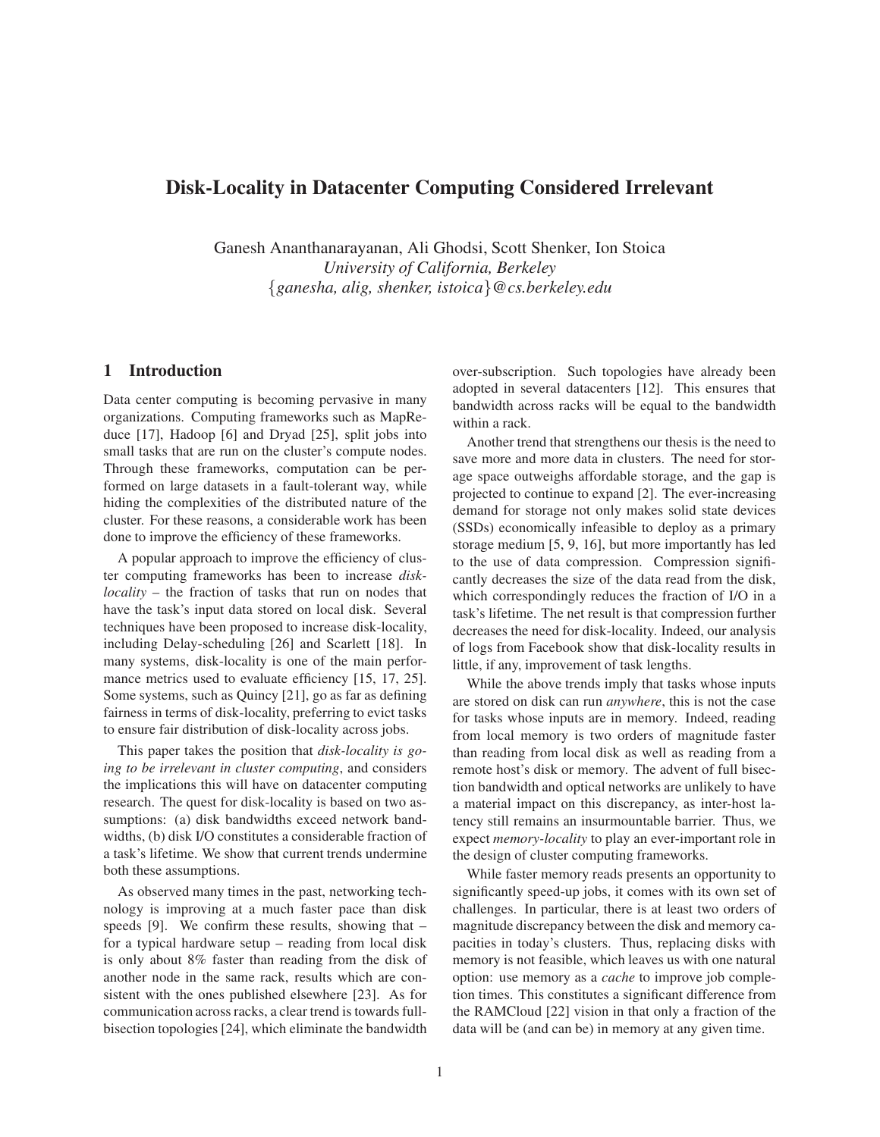# Disk-Locality in Datacenter Computing Considered Irrelevant

Ganesh Ananthanarayanan, Ali Ghodsi, Scott Shenker, Ion Stoica *University of California, Berkeley* {*ganesha, alig, shenker, istoica*}*@cs.berkeley.edu*

# 1 Introduction

Data center computing is becoming pervasive in many organizations. Computing frameworks such as MapReduce [17], Hadoop [6] and Dryad [25], split jobs into small tasks that are run on the cluster's compute nodes. Through these frameworks, computation can be performed on large datasets in a fault-tolerant way, while hiding the complexities of the distributed nature of the cluster. For these reasons, a considerable work has been done to improve the efficiency of these frameworks.

A popular approach to improve the efficiency of cluster computing frameworks has been to increase *disklocality* – the fraction of tasks that run on nodes that have the task's input data stored on local disk. Several techniques have been proposed to increase disk-locality, including Delay-scheduling [26] and Scarlett [18]. In many systems, disk-locality is one of the main performance metrics used to evaluate efficiency [15, 17, 25]. Some systems, such as Quincy [21], go as far as defining fairness in terms of disk-locality, preferring to evict tasks to ensure fair distribution of disk-locality across jobs.

This paper takes the position that *disk-locality is going to be irrelevant in cluster computing*, and considers the implications this will have on datacenter computing research. The quest for disk-locality is based on two assumptions: (a) disk bandwidths exceed network bandwidths, (b) disk I/O constitutes a considerable fraction of a task's lifetime. We show that current trends undermine both these assumptions.

As observed many times in the past, networking technology is improving at a much faster pace than disk speeds [9]. We confirm these results, showing that – for a typical hardware setup – reading from local disk is only about 8% faster than reading from the disk of another node in the same rack, results which are consistent with the ones published elsewhere [23]. As for communication across racks, a clear trend is towards fullbisection topologies [24], which eliminate the bandwidth over-subscription. Such topologies have already been adopted in several datacenters [12]. This ensures that bandwidth across racks will be equal to the bandwidth within a rack.

Another trend that strengthens our thesis is the need to save more and more data in clusters. The need for storage space outweighs affordable storage, and the gap is projected to continue to expand [2]. The ever-increasing demand for storage not only makes solid state devices (SSDs) economically infeasible to deploy as a primary storage medium [5, 9, 16], but more importantly has led to the use of data compression. Compression significantly decreases the size of the data read from the disk, which correspondingly reduces the fraction of I/O in a task's lifetime. The net result is that compression further decreases the need for disk-locality. Indeed, our analysis of logs from Facebook show that disk-locality results in little, if any, improvement of task lengths.

While the above trends imply that tasks whose inputs are stored on disk can run *anywhere*, this is not the case for tasks whose inputs are in memory. Indeed, reading from local memory is two orders of magnitude faster than reading from local disk as well as reading from a remote host's disk or memory. The advent of full bisection bandwidth and optical networks are unlikely to have a material impact on this discrepancy, as inter-host latency still remains an insurmountable barrier. Thus, we expect *memory-locality* to play an ever-important role in the design of cluster computing frameworks.

While faster memory reads presents an opportunity to significantly speed-up jobs, it comes with its own set of challenges. In particular, there is at least two orders of magnitude discrepancy between the disk and memory capacities in today's clusters. Thus, replacing disks with memory is not feasible, which leaves us with one natural option: use memory as a *cache* to improve job completion times. This constitutes a significant difference from the RAMCloud [22] vision in that only a fraction of the data will be (and can be) in memory at any given time.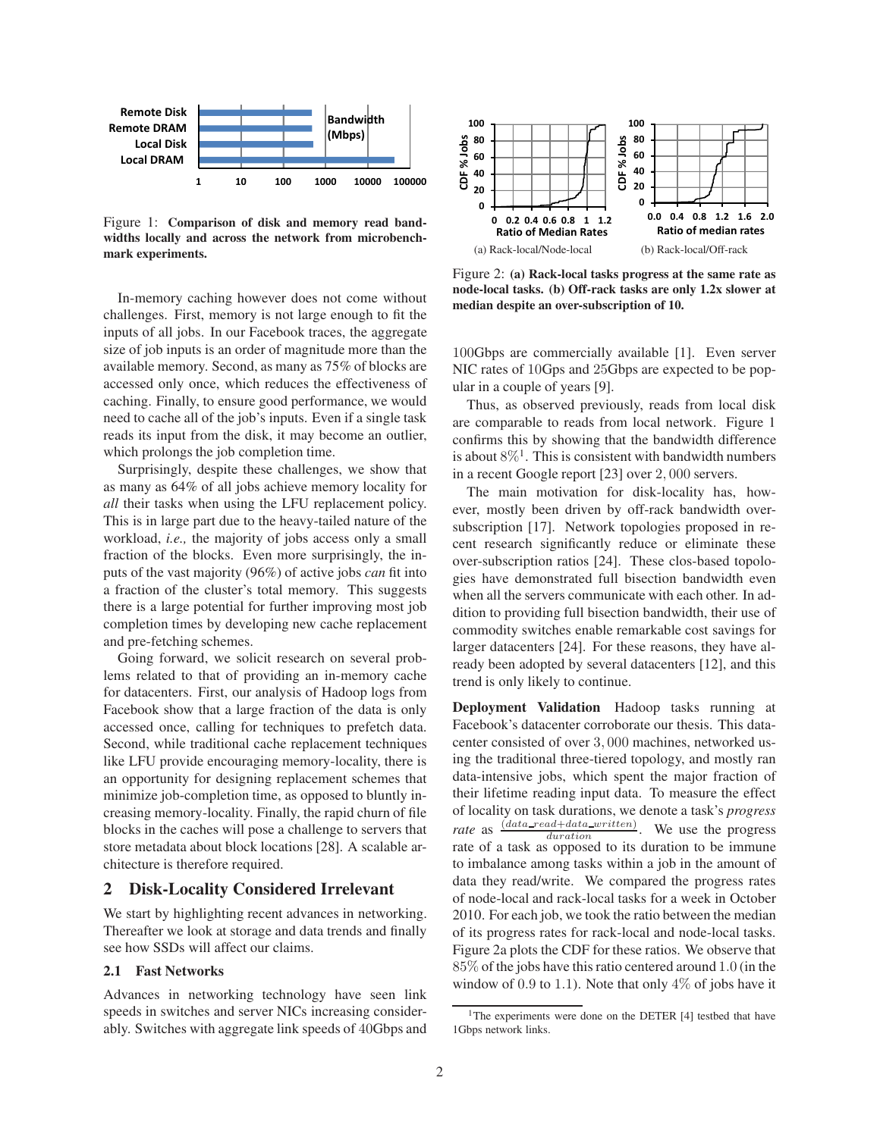

Figure 1: Comparison of disk and memory read bandwidths locally and across the network from microbenchmark experiments.

In-memory caching however does not come without challenges. First, memory is not large enough to fit the inputs of all jobs. In our Facebook traces, the aggregate size of job inputs is an order of magnitude more than the available memory. Second, as many as 75% of blocks are accessed only once, which reduces the effectiveness of caching. Finally, to ensure good performance, we would need to cache all of the job's inputs. Even if a single task reads its input from the disk, it may become an outlier, which prolongs the job completion time.

Surprisingly, despite these challenges, we show that as many as 64% of all jobs achieve memory locality for *all* their tasks when using the LFU replacement policy. This is in large part due to the heavy-tailed nature of the workload, *i.e.,* the majority of jobs access only a small fraction of the blocks. Even more surprisingly, the inputs of the vast majority (96%) of active jobs *can* fit into a fraction of the cluster's total memory. This suggests there is a large potential for further improving most job completion times by developing new cache replacement and pre-fetching schemes.

Going forward, we solicit research on several problems related to that of providing an in-memory cache for datacenters. First, our analysis of Hadoop logs from Facebook show that a large fraction of the data is only accessed once, calling for techniques to prefetch data. Second, while traditional cache replacement techniques like LFU provide encouraging memory-locality, there is an opportunity for designing replacement schemes that minimize job-completion time, as opposed to bluntly increasing memory-locality. Finally, the rapid churn of file blocks in the caches will pose a challenge to servers that store metadata about block locations [28]. A scalable architecture is therefore required.

## 2 Disk-Locality Considered Irrelevant

We start by highlighting recent advances in networking. Thereafter we look at storage and data trends and finally see how SSDs will affect our claims.

### 2.1 Fast Networks

Advances in networking technology have seen link speeds in switches and server NICs increasing considerably. Switches with aggregate link speeds of 40Gbps and



Figure 2: (a) Rack-local tasks progress at the same rate as node-local tasks. (b) Off-rack tasks are only 1.2x slower at median despite an over-subscription of 10.

100Gbps are commercially available [1]. Even server NIC rates of 10Gps and 25Gbps are expected to be popular in a couple of years [9].

Thus, as observed previously, reads from local disk are comparable to reads from local network. Figure 1 confirms this by showing that the bandwidth difference is about  $8\%$ <sup>1</sup>. This is consistent with bandwidth numbers in a recent Google report [23] over <sup>2</sup>, <sup>000</sup> servers.

The main motivation for disk-locality has, however, mostly been driven by off-rack bandwidth oversubscription [17]. Network topologies proposed in recent research significantly reduce or eliminate these over-subscription ratios [24]. These clos-based topologies have demonstrated full bisection bandwidth even when all the servers communicate with each other. In addition to providing full bisection bandwidth, their use of commodity switches enable remarkable cost savings for larger datacenters [24]. For these reasons, they have already been adopted by several datacenters [12], and this trend is only likely to continue.

Deployment Validation Hadoop tasks running at Facebook's datacenter corroborate our thesis. This datacenter consisted of over <sup>3</sup>, <sup>000</sup> machines, networked using the traditional three-tiered topology, and mostly ran data-intensive jobs, which spent the major fraction of their lifetime reading input data. To measure the effect of locality on task durations, we denote a task's *progress* rate as  $\frac{(data\_read + data\_written)}{duration}$ . We use the progress rate as  $\frac{duration}{duration}$ . We use the progress rate of a task as opposed to its duration to be immune to imbalance among tasks within a job in the amount of data they read/write. We compared the progress rates of node-local and rack-local tasks for a week in October 2010. For each job, we took the ratio between the median of its progress rates for rack-local and node-local tasks. Figure 2a plots the CDF for these ratios. We observe that 85% of the jobs have this ratio centered around <sup>1</sup>.<sup>0</sup> (in the window of <sup>0</sup>.<sup>9</sup> to <sup>1</sup>.1). Note that only 4% of jobs have it

<sup>&</sup>lt;sup>1</sup>The experiments were done on the DETER [4] testbed that have 1Gbps network links.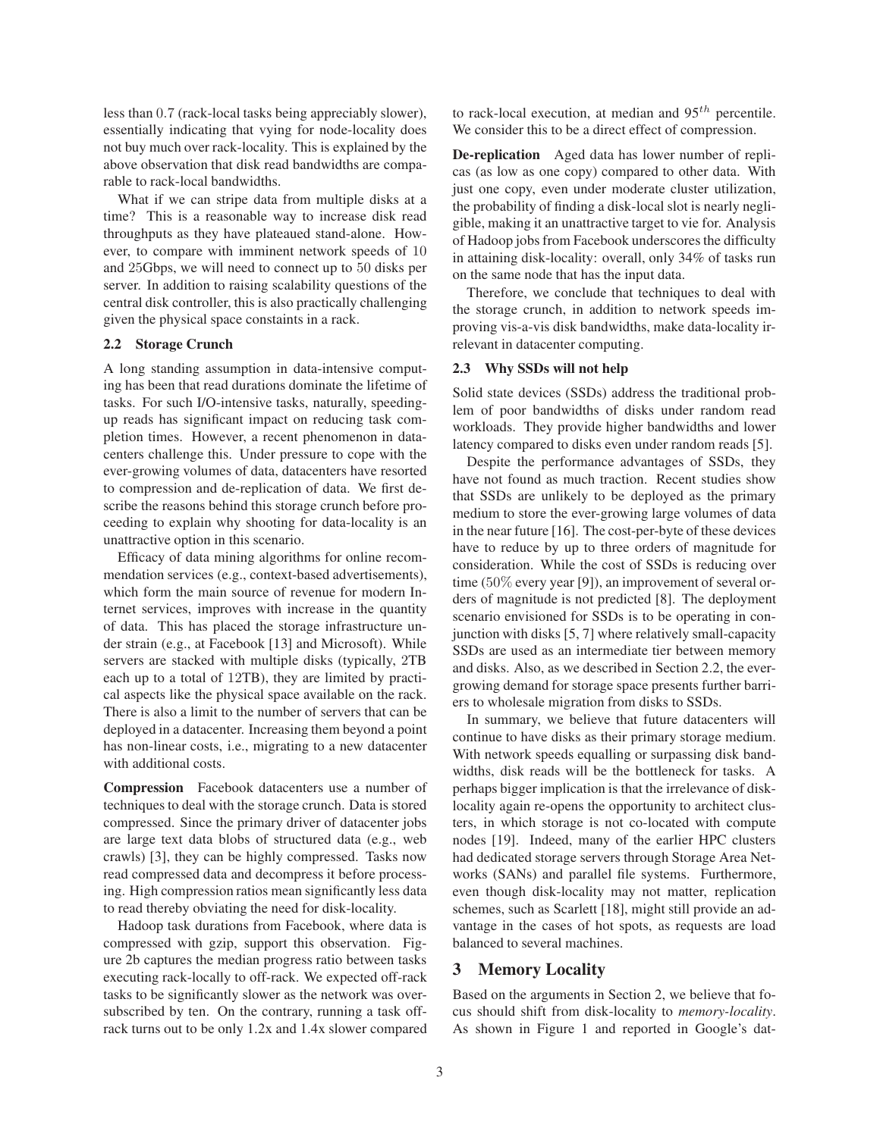less than <sup>0</sup>.<sup>7</sup> (rack-local tasks being appreciably slower), essentially indicating that vying for node-locality does not buy much over rack-locality. This is explained by the above observation that disk read bandwidths are comparable to rack-local bandwidths.

What if we can stripe data from multiple disks at a time? This is a reasonable way to increase disk read throughputs as they have plateaued stand-alone. However, to compare with imminent network speeds of 10 and 25Gbps, we will need to connect up to 50 disks per server. In addition to raising scalability questions of the central disk controller, this is also practically challenging given the physical space constaints in a rack.

#### 2.2 Storage Crunch

A long standing assumption in data-intensive computing has been that read durations dominate the lifetime of tasks. For such I/O-intensive tasks, naturally, speedingup reads has significant impact on reducing task completion times. However, a recent phenomenon in datacenters challenge this. Under pressure to cope with the ever-growing volumes of data, datacenters have resorted to compression and de-replication of data. We first describe the reasons behind this storage crunch before proceeding to explain why shooting for data-locality is an unattractive option in this scenario.

Efficacy of data mining algorithms for online recommendation services (e.g., context-based advertisements), which form the main source of revenue for modern Internet services, improves with increase in the quantity of data. This has placed the storage infrastructure under strain (e.g., at Facebook [13] and Microsoft). While servers are stacked with multiple disks (typically, 2TB each up to a total of 12TB), they are limited by practical aspects like the physical space available on the rack. There is also a limit to the number of servers that can be deployed in a datacenter. Increasing them beyond a point has non-linear costs, i.e., migrating to a new datacenter with additional costs.

Compression Facebook datacenters use a number of techniques to deal with the storage crunch. Data is stored compressed. Since the primary driver of datacenter jobs are large text data blobs of structured data (e.g., web crawls) [3], they can be highly compressed. Tasks now read compressed data and decompress it before processing. High compression ratios mean significantly less data to read thereby obviating the need for disk-locality.

Hadoop task durations from Facebook, where data is compressed with gzip, support this observation. Figure 2b captures the median progress ratio between tasks executing rack-locally to off-rack. We expected off-rack tasks to be significantly slower as the network was oversubscribed by ten. On the contrary, running a task offrack turns out to be only 1.2x and 1.4x slower compared to rack-local execution, at median and  $95<sup>th</sup>$  percentile. We consider this to be a direct effect of compression.

De-replication Aged data has lower number of replicas (as low as one copy) compared to other data. With just one copy, even under moderate cluster utilization, the probability of finding a disk-local slot is nearly negligible, making it an unattractive target to vie for. Analysis of Hadoop jobs from Facebook underscores the difficulty in attaining disk-locality: overall, only 34% of tasks run on the same node that has the input data.

Therefore, we conclude that techniques to deal with the storage crunch, in addition to network speeds improving vis-a-vis disk bandwidths, make data-locality irrelevant in datacenter computing.

### 2.3 Why SSDs will not help

Solid state devices (SSDs) address the traditional problem of poor bandwidths of disks under random read workloads. They provide higher bandwidths and lower latency compared to disks even under random reads [5].

Despite the performance advantages of SSDs, they have not found as much traction. Recent studies show that SSDs are unlikely to be deployed as the primary medium to store the ever-growing large volumes of data in the near future [16]. The cost-per-byte of these devices have to reduce by up to three orders of magnitude for consideration. While the cost of SSDs is reducing over time (50% every year [9]), an improvement of several orders of magnitude is not predicted [8]. The deployment scenario envisioned for SSDs is to be operating in conjunction with disks [5, 7] where relatively small-capacity SSDs are used as an intermediate tier between memory and disks. Also, as we described in Section 2.2, the evergrowing demand for storage space presents further barriers to wholesale migration from disks to SSDs.

In summary, we believe that future datacenters will continue to have disks as their primary storage medium. With network speeds equalling or surpassing disk bandwidths, disk reads will be the bottleneck for tasks. A perhaps bigger implication is that the irrelevance of disklocality again re-opens the opportunity to architect clusters, in which storage is not co-located with compute nodes [19]. Indeed, many of the earlier HPC clusters had dedicated storage servers through Storage Area Networks (SANs) and parallel file systems. Furthermore, even though disk-locality may not matter, replication schemes, such as Scarlett [18], might still provide an advantage in the cases of hot spots, as requests are load balanced to several machines.

## 3 Memory Locality

Based on the arguments in Section 2, we believe that focus should shift from disk-locality to *memory-locality*. As shown in Figure 1 and reported in Google's dat-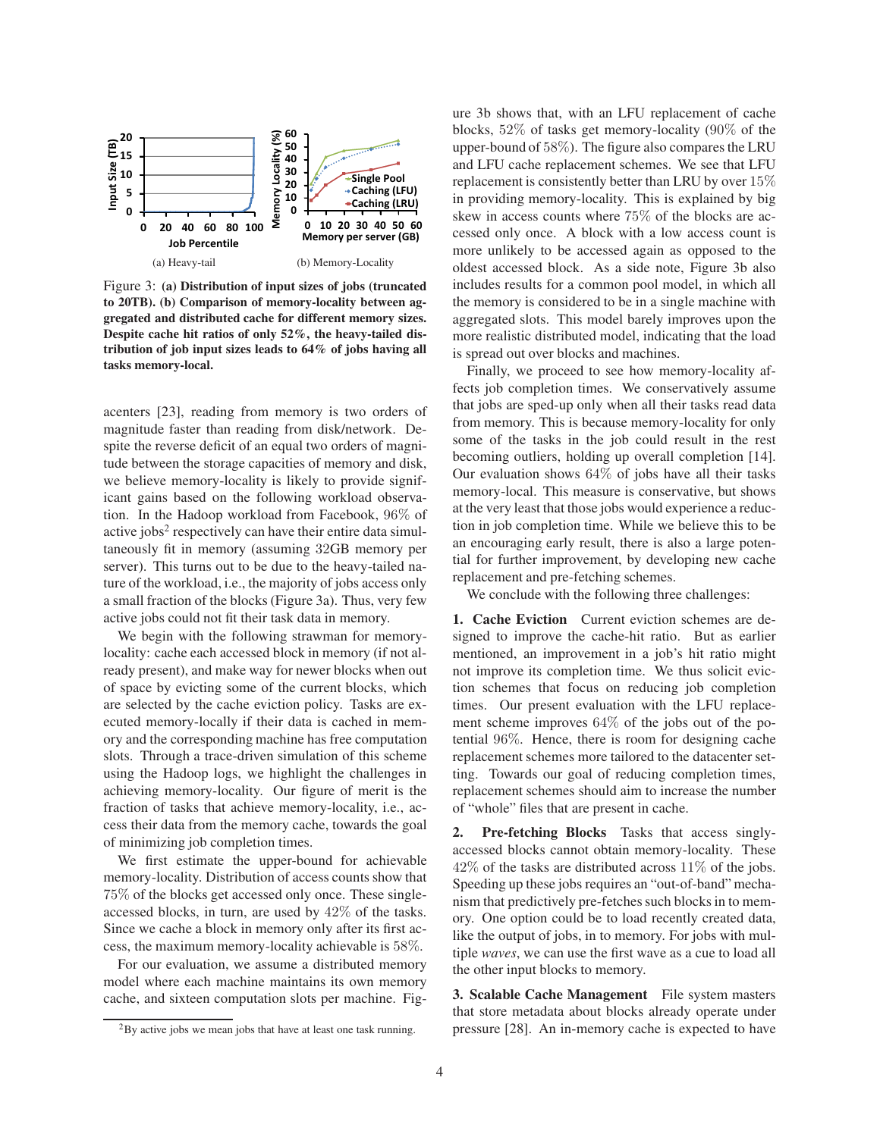

Figure 3: (a) Distribution of input sizes of jobs (truncated to 20TB). (b) Comparison of memory-locality between aggregated and distributed cache for different memory sizes. Despite cache hit ratios of only 52%, the heavy-tailed distribution of job input sizes leads to 64% of jobs having all tasks memory-local.

acenters [23], reading from memory is two orders of magnitude faster than reading from disk/network. Despite the reverse deficit of an equal two orders of magnitude between the storage capacities of memory and disk, we believe memory-locality is likely to provide significant gains based on the following workload observation. In the Hadoop workload from Facebook, 96% of active jobs<sup>2</sup> respectively can have their entire data simultaneously fit in memory (assuming 32GB memory per server). This turns out to be due to the heavy-tailed nature of the workload, i.e., the majority of jobs access only a small fraction of the blocks (Figure 3a). Thus, very few active jobs could not fit their task data in memory.

We begin with the following strawman for memorylocality: cache each accessed block in memory (if not already present), and make way for newer blocks when out of space by evicting some of the current blocks, which are selected by the cache eviction policy. Tasks are executed memory-locally if their data is cached in memory and the corresponding machine has free computation slots. Through a trace-driven simulation of this scheme using the Hadoop logs, we highlight the challenges in achieving memory-locality. Our figure of merit is the fraction of tasks that achieve memory-locality, i.e., access their data from the memory cache, towards the goal of minimizing job completion times.

We first estimate the upper-bound for achievable memory-locality. Distribution of access counts show that 75% of the blocks get accessed only once. These singleaccessed blocks, in turn, are used by 42% of the tasks. Since we cache a block in memory only after its first access, the maximum memory-locality achievable is 58%.

For our evaluation, we assume a distributed memory model where each machine maintains its own memory cache, and sixteen computation slots per machine. Figure 3b shows that, with an LFU replacement of cache blocks, 52% of tasks get memory-locality (90% of the upper-bound of 58%). The figure also compares the LRU and LFU cache replacement schemes. We see that LFU replacement is consistently better than LRU by over 15% in providing memory-locality. This is explained by big skew in access counts where 75% of the blocks are accessed only once. A block with a low access count is more unlikely to be accessed again as opposed to the oldest accessed block. As a side note, Figure 3b also includes results for a common pool model, in which all the memory is considered to be in a single machine with aggregated slots. This model barely improves upon the more realistic distributed model, indicating that the load is spread out over blocks and machines.

Finally, we proceed to see how memory-locality affects job completion times. We conservatively assume that jobs are sped-up only when all their tasks read data from memory. This is because memory-locality for only some of the tasks in the job could result in the rest becoming outliers, holding up overall completion [14]. Our evaluation shows  $64\%$  of jobs have all their tasks memory-local. This measure is conservative, but shows at the very least that those jobs would experience a reduction in job completion time. While we believe this to be an encouraging early result, there is also a large potential for further improvement, by developing new cache replacement and pre-fetching schemes.

We conclude with the following three challenges:

1. Cache Eviction Current eviction schemes are designed to improve the cache-hit ratio. But as earlier mentioned, an improvement in a job's hit ratio might not improve its completion time. We thus solicit eviction schemes that focus on reducing job completion times. Our present evaluation with the LFU replacement scheme improves 64% of the jobs out of the potential 96%. Hence, there is room for designing cache replacement schemes more tailored to the datacenter setting. Towards our goal of reducing completion times, replacement schemes should aim to increase the number of "whole" files that are present in cache.

2. Pre-fetching Blocks Tasks that access singlyaccessed blocks cannot obtain memory-locality. These  $42\%$  of the tasks are distributed across  $11\%$  of the jobs. Speeding up these jobs requires an "out-of-band" mechanism that predictively pre-fetches such blocks in to memory. One option could be to load recently created data, like the output of jobs, in to memory. For jobs with multiple *waves*, we can use the first wave as a cue to load all the other input blocks to memory.

3. Scalable Cache Management File system masters that store metadata about blocks already operate under pressure [28]. An in-memory cache is expected to have

<sup>&</sup>lt;sup>2</sup>By active jobs we mean jobs that have at least one task running.